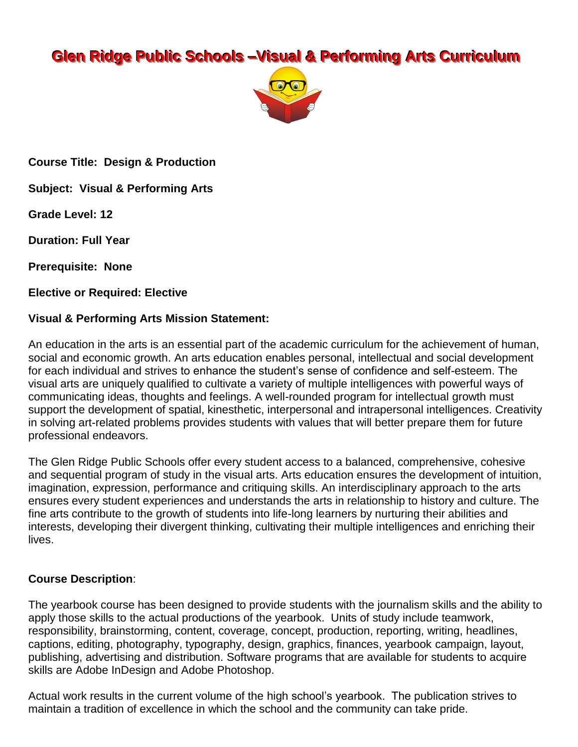# **Glen Ridge Public Schools -Visual & Performing Arts Curriculum**



**Course Title: Design & Production** 

**Subject: Visual & Performing Arts** 

**Grade Level: 12** 

**Duration: Full Year** 

**Prerequisite: None** 

**Elective or Required: Elective** 

#### **Visual & Performing Arts Mission Statement:**

An education in the arts is an essential part of the academic curriculum for the achievement of human, social and economic growth. An arts education enables personal, intellectual and social development for each individual and strives to enhance the student's sense of confidence and self-esteem. The visual arts are uniquely qualified to cultivate a variety of multiple intelligences with powerful ways of communicating ideas, thoughts and feelings. A well-rounded program for intellectual growth must support the development of spatial, kinesthetic, interpersonal and intrapersonal intelligences. Creativity in solving art-related problems provides students with values that will better prepare them for future professional endeavors.

The Glen Ridge Public Schools offer every student access to a balanced, comprehensive, cohesive and sequential program of study in the visual arts. Arts education ensures the development of intuition, imagination, expression, performance and critiquing skills. An interdisciplinary approach to the arts ensures every student experiences and understands the arts in relationship to history and culture. The fine arts contribute to the growth of students into life-long learners by nurturing their abilities and interests, developing their divergent thinking, cultivating their multiple intelligences and enriching their lives.

#### **Course Description:**

The yearbook course has been designed to provide students with the journalism skills and the ability to apply those skills to the actual productions of the yearbook. Units of study include teamwork, responsibility, brainstorming, content, coverage, concept, production, reporting, writing, headlines, captions, editing, photography, typography, design, graphics, finances, yearbook campaign, layout, publishing, advertising and distribution. Software programs that are available for students to acquire skills are Adobe InDesign and Adobe Photoshop.

Actual work results in the current volume of the high school's yearbook. The publication strives to maintain a tradition of excellence in which the school and the community can take pride.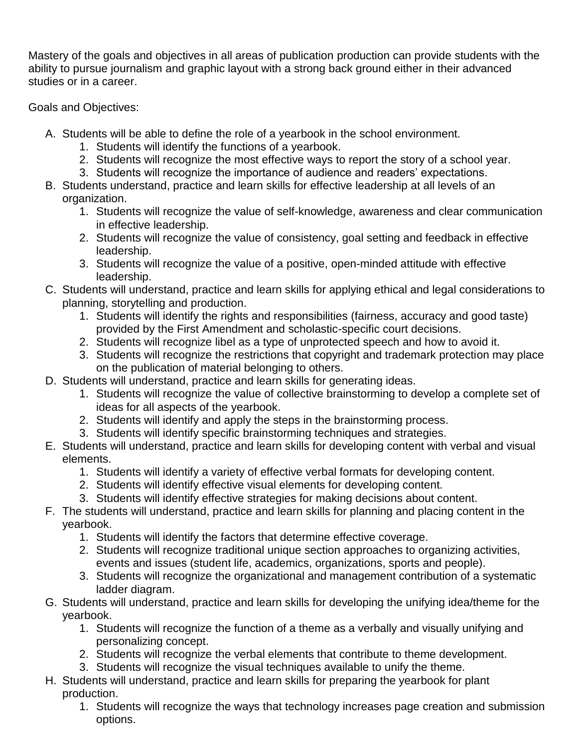Mastery of the goals and objectives in all areas of publication production can provide students with the ability to pursue journalism and graphic layout with a strong back ground either in their advanced studies or in a career.

Goals and Objectives:

- A. Students will be able to define the role of a yearbook in the school environment.
	- 1. Students will identify the functions of a yearbook.
	- 2. Students will recognize the most effective ways to report the story of a school year.
	- 3. Students will recognize the importance of audience and readers' expectations.
- B. Students understand, practice and learn skills for effective leadership at all levels of an organization.
	- 1. Students will recognize the value of self-knowledge, awareness and clear communication in effective leadership.
	- 2. Students will recognize the value of consistency, goal setting and feedback in effective leadership.
	- 3. Students will recognize the value of a positive, open-minded attitude with effective leadership.
- C. Students will understand, practice and learn skills for applying ethical and legal considerations to planning, storytelling and production.
	- 1. Students will identify the rights and responsibilities (fairness, accuracy and good taste) provided by the First Amendment and scholastic-specific court decisions.
	- 2. Students will recognize libel as a type of unprotected speech and how to avoid it.
	- 3. Students will recognize the restrictions that copyright and trademark protection may place on the publication of material belonging to others.
- D. Students will understand, practice and learn skills for generating ideas.
	- 1. Students will recognize the value of collective brainstorming to develop a complete set of ideas for all aspects of the yearbook.
	- 2. Students will identify and apply the steps in the brainstorming process.
	- 3. Students will identify specific brainstorming techniques and strategies.
- E. Students will understand, practice and learn skills for developing content with verbal and visual elements.
	- 1. Students will identify a variety of effective verbal formats for developing content.
	- 2. Students will identify effective visual elements for developing content.
	- 3. Students will identify effective strategies for making decisions about content.
- F. The students will understand, practice and learn skills for planning and placing content in the yearbook.
	- 1. Students will identify the factors that determine effective coverage.
	- 2. Students will recognize traditional unique section approaches to organizing activities, events and issues (student life, academics, organizations, sports and people).
	- 3. Students will recognize the organizational and management contribution of a systematic ladder diagram.
- G. Students will understand, practice and learn skills for developing the unifying idea/theme for the yearbook.
	- 1. Students will recognize the function of a theme as a verbally and visually unifying and personalizing concept.
	- 2. Students will recognize the verbal elements that contribute to theme development.
	- 3. Students will recognize the visual techniques available to unify the theme.
- H. Students will understand, practice and learn skills for preparing the yearbook for plant production.
	- 1. Students will recognize the ways that technology increases page creation and submission options.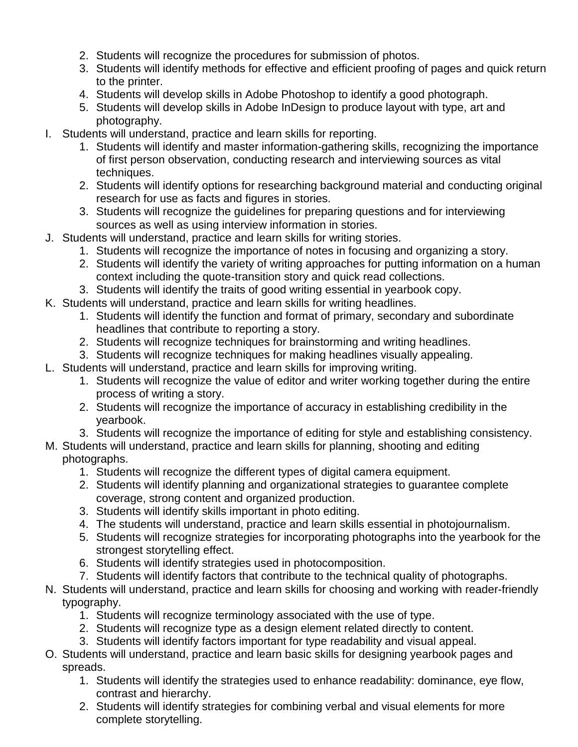- 2. Students will recognize the procedures for submission of photos.
- 3. Students will identify methods for effective and efficient proofing of pages and quick return to the printer.
- 4. Students will develop skills in Adobe Photoshop to identify a good photograph.
- 5. Students will develop skills in Adobe InDesign to produce layout with type, art and photography.
- I. Students will understand, practice and learn skills for reporting.
	- 1. Students will identify and master information-gathering skills, recognizing the importance of first person observation, conducting research and interviewing sources as vital techniques.
	- 2. Students will identify options for researching background material and conducting original research for use as facts and figures in stories.
	- 3. Students will recognize the guidelines for preparing questions and for interviewing sources as well as using interview information in stories.
- J. Students will understand, practice and learn skills for writing stories.
	- 1. Students will recognize the importance of notes in focusing and organizing a story.
	- 2. Students will identify the variety of writing approaches for putting information on a human context including the quote-transition story and quick read collections.
	- 3. Students will identify the traits of good writing essential in yearbook copy.
- K. Students will understand, practice and learn skills for writing headlines.
	- 1. Students will identify the function and format of primary, secondary and subordinate headlines that contribute to reporting a story.
	- 2. Students will recognize techniques for brainstorming and writing headlines.
	- 3. Students will recognize techniques for making headlines visually appealing.
- L. Students will understand, practice and learn skills for improving writing.
	- 1. Students will recognize the value of editor and writer working together during the entire process of writing a story.
	- 2. Students will recognize the importance of accuracy in establishing credibility in the yearbook.
	- 3. Students will recognize the importance of editing for style and establishing consistency.
- M. Students will understand, practice and learn skills for planning, shooting and editing photographs.
	- 1. Students will recognize the different types of digital camera equipment.
	- 2. Students will identify planning and organizational strategies to guarantee complete coverage, strong content and organized production.
	- 3. Students will identify skills important in photo editing.
	- 4. The students will understand, practice and learn skills essential in photojournalism.
	- 5. Students will recognize strategies for incorporating photographs into the yearbook for the strongest storytelling effect.
	- 6. Students will identify strategies used in photocomposition.
	- 7. Students will identify factors that contribute to the technical quality of photographs.
- N. Students will understand, practice and learn skills for choosing and working with reader-friendly typography.
	- 1. Students will recognize terminology associated with the use of type.
	- 2. Students will recognize type as a design element related directly to content.
	- 3. Students will identify factors important for type readability and visual appeal.
- O. Students will understand, practice and learn basic skills for designing yearbook pages and spreads.
	- 1. Students will identify the strategies used to enhance readability: dominance, eye flow, contrast and hierarchy.
	- 2. Students will identify strategies for combining verbal and visual elements for more complete storytelling.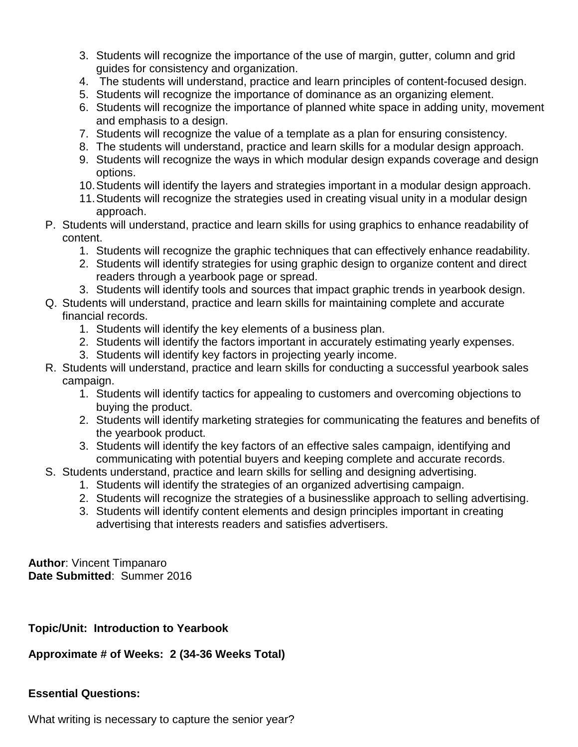- 3. Students will recognize the importance of the use of margin, gutter, column and grid guides for consistency and organization.
- 4. The students will understand, practice and learn principles of content-focused design.
- 5. Students will recognize the importance of dominance as an organizing element.
- 6. Students will recognize the importance of planned white space in adding unity, movement and emphasis to a design.
- 7. Students will recognize the value of a template as a plan for ensuring consistency.
- 8. The students will understand, practice and learn skills for a modular design approach.
- 9. Students will recognize the ways in which modular design expands coverage and design options.
- 10.Students will identify the layers and strategies important in a modular design approach.
- 11.Students will recognize the strategies used in creating visual unity in a modular design approach.
- P. Students will understand, practice and learn skills for using graphics to enhance readability of content.
	- 1. Students will recognize the graphic techniques that can effectively enhance readability.
	- 2. Students will identify strategies for using graphic design to organize content and direct readers through a yearbook page or spread.
	- 3. Students will identify tools and sources that impact graphic trends in yearbook design.
- Q. Students will understand, practice and learn skills for maintaining complete and accurate financial records.
	- 1. Students will identify the key elements of a business plan.
	- 2. Students will identify the factors important in accurately estimating yearly expenses.
	- 3. Students will identify key factors in projecting yearly income.
- R. Students will understand, practice and learn skills for conducting a successful yearbook sales campaign.
	- 1. Students will identify tactics for appealing to customers and overcoming objections to buying the product.
	- 2. Students will identify marketing strategies for communicating the features and benefits of the yearbook product.
	- 3. Students will identify the key factors of an effective sales campaign, identifying and communicating with potential buyers and keeping complete and accurate records.
- S. Students understand, practice and learn skills for selling and designing advertising.
	- 1. Students will identify the strategies of an organized advertising campaign.
	- 2. Students will recognize the strategies of a businesslike approach to selling advertising.
	- 3. Students will identify content elements and design principles important in creating advertising that interests readers and satisfies advertisers.

**Author**: Vincent Timpanaro **Date Submitted**: Summer 2016

## **Topic/Unit: Introduction to Yearbook**

## **Approximate # of Weeks: 2 (34-36 Weeks Total)**

## **Essential Questions:**

What writing is necessary to capture the senior year?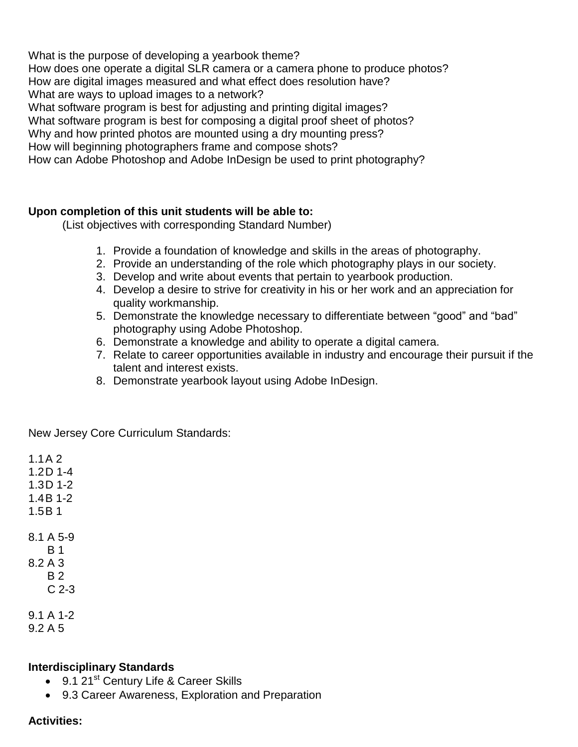What is the purpose of developing a yearbook theme? How does one operate a digital SLR camera or a camera phone to produce photos? How are digital images measured and what effect does resolution have? What are ways to upload images to a network? What software program is best for adjusting and printing digital images? What software program is best for composing a digital proof sheet of photos? Why and how printed photos are mounted using a dry mounting press? How will beginning photographers frame and compose shots?

How can Adobe Photoshop and Adobe InDesign be used to print photography?

#### **Upon completion of this unit students will be able to:**

(List objectives with corresponding Standard Number)

- 1. Provide a foundation of knowledge and skills in the areas of photography.
- 2. Provide an understanding of the role which photography plays in our society.
- 3. Develop and write about events that pertain to yearbook production.
- 4. Develop a desire to strive for creativity in his or her work and an appreciation for quality workmanship.
- 5. Demonstrate the knowledge necessary to differentiate between "good" and "bad" photography using Adobe Photoshop.
- 6. Demonstrate a knowledge and ability to operate a digital camera.
- 7. Relate to career opportunities available in industry and encourage their pursuit if the talent and interest exists.
- 8. Demonstrate yearbook layout using Adobe InDesign.

New Jersey Core Curriculum Standards:

1.1A 2 1.2D 1-4 1.3D 1-2 1.4B 1-2 1.5B 1 8.1 A 5-9 B 1 8.2 A 3 B 2 C 2-3 9.1 A 1-2

9.2 A 5

#### **Interdisciplinary Standards**

- $\bullet$  9.1 21<sup>st</sup> Century Life & Career Skills
- 9.3 Career Awareness, Exploration and Preparation

#### **Activities:**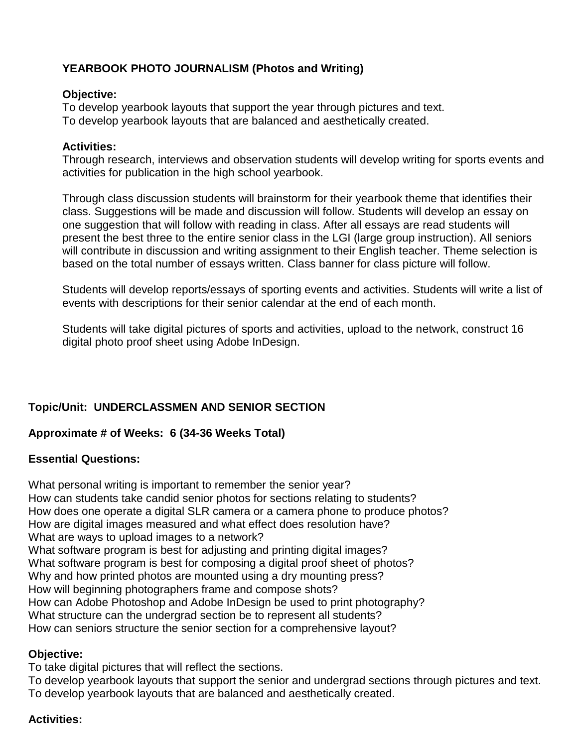## **YEARBOOK PHOTO JOURNALISM (Photos and Writing)**

#### **Objective:**

To develop yearbook layouts that support the year through pictures and text. To develop yearbook layouts that are balanced and aesthetically created.

#### **Activities:**

Through research, interviews and observation students will develop writing for sports events and activities for publication in the high school yearbook.

Through class discussion students will brainstorm for their yearbook theme that identifies their class. Suggestions will be made and discussion will follow. Students will develop an essay on one suggestion that will follow with reading in class. After all essays are read students will present the best three to the entire senior class in the LGI (large group instruction). All seniors will contribute in discussion and writing assignment to their English teacher. Theme selection is based on the total number of essays written. Class banner for class picture will follow.

Students will develop reports/essays of sporting events and activities. Students will write a list of events with descriptions for their senior calendar at the end of each month.

Students will take digital pictures of sports and activities, upload to the network, construct 16 digital photo proof sheet using Adobe InDesign.

## **Topic/Unit: UNDERCLASSMEN AND SENIOR SECTION**

#### **Approximate # of Weeks: 6 (34-36 Weeks Total)**

## **Essential Questions:**

What personal writing is important to remember the senior year? How can students take candid senior photos for sections relating to students? How does one operate a digital SLR camera or a camera phone to produce photos? How are digital images measured and what effect does resolution have? What are ways to upload images to a network? What software program is best for adjusting and printing digital images? What software program is best for composing a digital proof sheet of photos? Why and how printed photos are mounted using a dry mounting press? How will beginning photographers frame and compose shots? How can Adobe Photoshop and Adobe InDesign be used to print photography? What structure can the undergrad section be to represent all students? How can seniors structure the senior section for a comprehensive layout?

#### **Objective:**

To take digital pictures that will reflect the sections.

To develop yearbook layouts that support the senior and undergrad sections through pictures and text. To develop yearbook layouts that are balanced and aesthetically created.

#### **Activities:**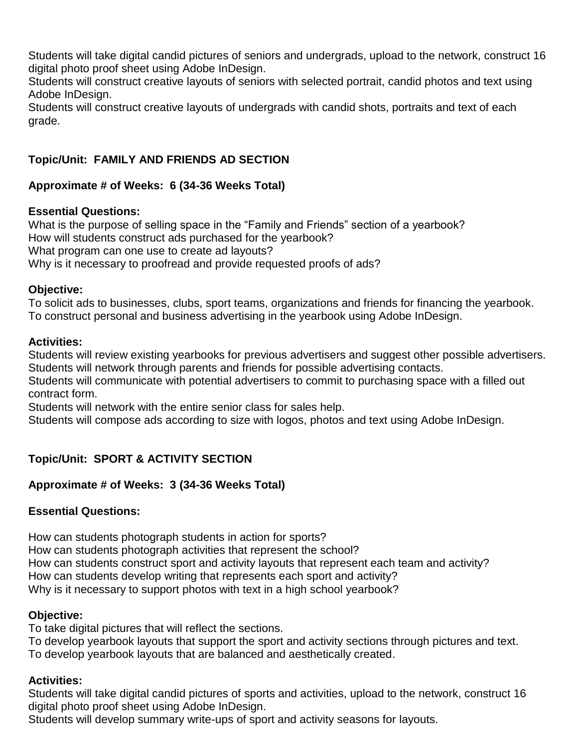Students will take digital candid pictures of seniors and undergrads, upload to the network, construct 16 digital photo proof sheet using Adobe InDesign.

Students will construct creative layouts of seniors with selected portrait, candid photos and text using Adobe InDesign.

Students will construct creative layouts of undergrads with candid shots, portraits and text of each grade.

# **Topic/Unit: FAMILY AND FRIENDS AD SECTION**

# **Approximate # of Weeks: 6 (34-36 Weeks Total)**

## **Essential Questions:**

What is the purpose of selling space in the "Family and Friends" section of a yearbook? How will students construct ads purchased for the yearbook? What program can one use to create ad layouts? Why is it necessary to proofread and provide requested proofs of ads?

## **Objective:**

To solicit ads to businesses, clubs, sport teams, organizations and friends for financing the yearbook. To construct personal and business advertising in the yearbook using Adobe InDesign.

#### **Activities:**

Students will review existing yearbooks for previous advertisers and suggest other possible advertisers. Students will network through parents and friends for possible advertising contacts.

Students will communicate with potential advertisers to commit to purchasing space with a filled out contract form.

Students will network with the entire senior class for sales help.

Students will compose ads according to size with logos, photos and text using Adobe InDesign.

# **Topic/Unit: SPORT & ACTIVITY SECTION**

## **Approximate # of Weeks: 3 (34-36 Weeks Total)**

## **Essential Questions:**

How can students photograph students in action for sports? How can students photograph activities that represent the school? How can students construct sport and activity layouts that represent each team and activity? How can students develop writing that represents each sport and activity?

Why is it necessary to support photos with text in a high school yearbook?

## **Objective:**

To take digital pictures that will reflect the sections.

To develop yearbook layouts that support the sport and activity sections through pictures and text. To develop yearbook layouts that are balanced and aesthetically created.

# **Activities:**

Students will take digital candid pictures of sports and activities, upload to the network, construct 16 digital photo proof sheet using Adobe InDesign.

Students will develop summary write-ups of sport and activity seasons for layouts.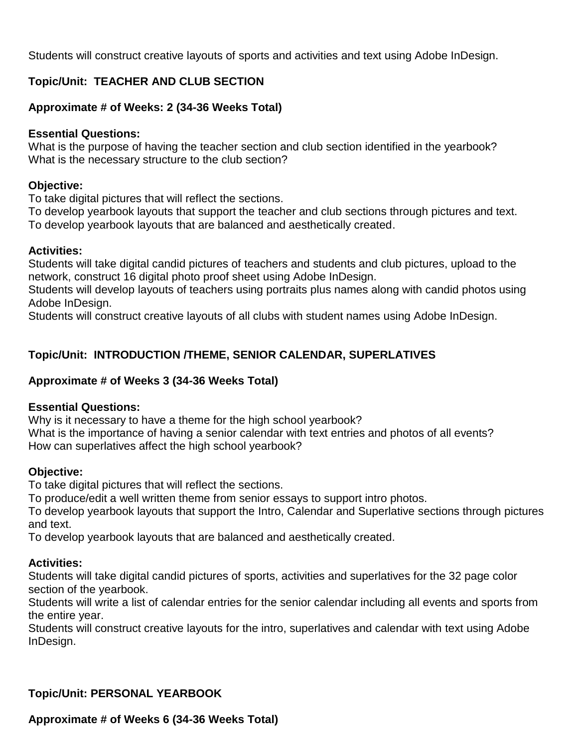Students will construct creative layouts of sports and activities and text using Adobe InDesign.

## **Topic/Unit: TEACHER AND CLUB SECTION**

#### **Approximate # of Weeks: 2 (34-36 Weeks Total)**

#### **Essential Questions:**

What is the purpose of having the teacher section and club section identified in the yearbook? What is the necessary structure to the club section?

#### **Objective:**

To take digital pictures that will reflect the sections.

To develop yearbook layouts that support the teacher and club sections through pictures and text. To develop yearbook layouts that are balanced and aesthetically created.

#### **Activities:**

Students will take digital candid pictures of teachers and students and club pictures, upload to the network, construct 16 digital photo proof sheet using Adobe InDesign.

Students will develop layouts of teachers using portraits plus names along with candid photos using Adobe InDesign.

Students will construct creative layouts of all clubs with student names using Adobe InDesign.

## **Topic/Unit: INTRODUCTION /THEME, SENIOR CALENDAR, SUPERLATIVES**

#### **Approximate # of Weeks 3 (34-36 Weeks Total)**

#### **Essential Questions:**

Why is it necessary to have a theme for the high school yearbook? What is the importance of having a senior calendar with text entries and photos of all events? How can superlatives affect the high school yearbook?

#### **Objective:**

To take digital pictures that will reflect the sections.

To produce/edit a well written theme from senior essays to support intro photos.

To develop yearbook layouts that support the Intro, Calendar and Superlative sections through pictures and text.

To develop yearbook layouts that are balanced and aesthetically created.

#### **Activities:**

Students will take digital candid pictures of sports, activities and superlatives for the 32 page color section of the yearbook.

Students will write a list of calendar entries for the senior calendar including all events and sports from the entire year.

Students will construct creative layouts for the intro, superlatives and calendar with text using Adobe InDesign.

## **Topic/Unit: PERSONAL YEARBOOK**

## **Approximate # of Weeks 6 (34-36 Weeks Total)**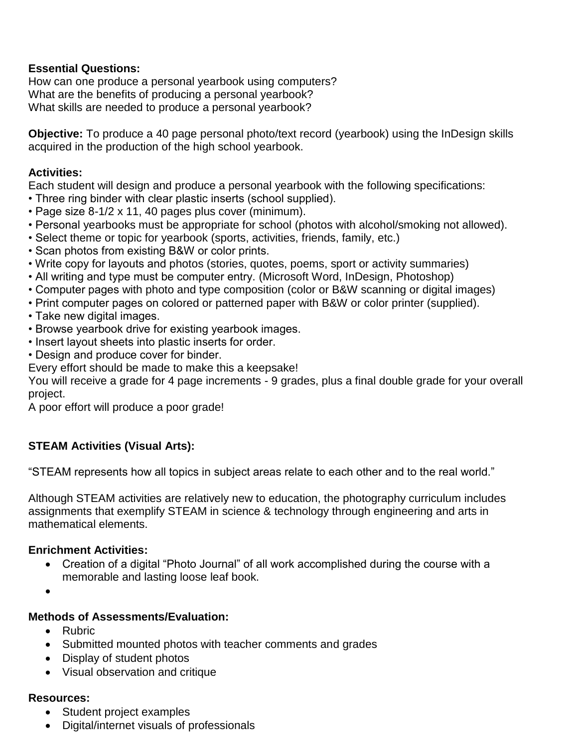## **Essential Questions:**

How can one produce a personal yearbook using computers? What are the benefits of producing a personal yearbook? What skills are needed to produce a personal yearbook?

**Objective:** To produce a 40 page personal photo/text record (yearbook) using the InDesign skills acquired in the production of the high school yearbook.

## **Activities:**

Each student will design and produce a personal yearbook with the following specifications:

- Three ring binder with clear plastic inserts (school supplied).
- Page size 8-1/2 x 11, 40 pages plus cover (minimum).
- Personal yearbooks must be appropriate for school (photos with alcohol/smoking not allowed).
- Select theme or topic for yearbook (sports, activities, friends, family, etc.)
- Scan photos from existing B&W or color prints.
- Write copy for layouts and photos (stories, quotes, poems, sport or activity summaries)
- All writing and type must be computer entry. (Microsoft Word, InDesign, Photoshop)
- Computer pages with photo and type composition (color or B&W scanning or digital images)
- Print computer pages on colored or patterned paper with B&W or color printer (supplied).
- Take new digital images.
- Browse yearbook drive for existing yearbook images.
- Insert layout sheets into plastic inserts for order.
- Design and produce cover for binder.

Every effort should be made to make this a keepsake!

You will receive a grade for 4 page increments - 9 grades, plus a final double grade for your overall project.

A poor effort will produce a poor grade!

# **STEAM Activities (Visual Arts):**

"STEAM represents how all topics in subject areas relate to each other and to the real world."

Although STEAM activities are relatively new to education, the photography curriculum includes assignments that exemplify STEAM in science & technology through engineering and arts in mathematical elements.

## **Enrichment Activities:**

 Creation of a digital "Photo Journal" of all work accomplished during the course with a memorable and lasting loose leaf book.

 $\bullet$ 

## **Methods of Assessments/Evaluation:**

- Rubric
- Submitted mounted photos with teacher comments and grades
- Display of student photos
- Visual observation and critique

## **Resources:**

- Student project examples
- Digital/internet visuals of professionals